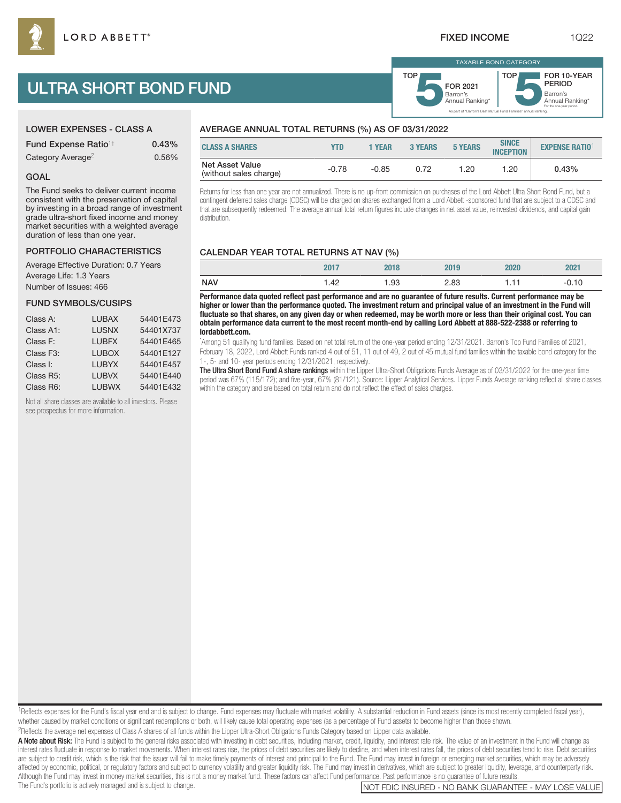# ULTRA SHORT BOND FUND

|  |  |  | <b>LOWER EXPENSES - CLASS A</b> |  |
|--|--|--|---------------------------------|--|
|  |  |  |                                 |  |

| <b>Fund Expense Ratio<sup>1†</sup></b> | 0.43% |
|----------------------------------------|-------|
| Category Average <sup>2</sup>          | 0.56% |

# GOAL

The Fund seeks to deliver current income consistent with the preservation of capital by investing in a broad range of investment grade ultra-short fixed income and money market securities with a weighted average duration of less than one year.

#### PORTFOLIO CHARACTERISTICS

Average Effective Duration: 0.7 Years Average Life: 1.3 Years Number of Issues: 466

# FUND SYMBOLS/CUSIPS

| Class A:  | <b>LUBAX</b> | 54401E473 |
|-----------|--------------|-----------|
| Class A1: | <b>LUSNX</b> | 54401X737 |
| Class F:  | <b>LUBFX</b> | 54401E465 |
| Class F3: | <b>LUBOX</b> | 54401E127 |
| Class I:  | <b>LUBYX</b> | 54401E457 |
| Class R5: | <b>LUBVX</b> | 54401E440 |
| Class R6: | <b>LUBWX</b> | 54401E432 |

Not all share classes are available to all investors. Please see prospectus for more information.

# AVERAGE ANNUAL TOTAL RETURNS (%) AS OF 03/31/2022

| <b>CLASS A SHARES</b>                     | YTD     | 1 YEAR  | <b>3 YEARS</b> | <b>5 YEARS</b> | <b>SINCE</b><br><b>INCEPTION</b> | <b>EXPENSE RATIO<sup>1</sup></b> |
|-------------------------------------------|---------|---------|----------------|----------------|----------------------------------|----------------------------------|
| Net Asset Value<br>(without sales charge) | $-0.78$ | $-0.85$ | 0.72           | .20            | 1.20                             | 0.43%                            |

Returns for less than one year are not annualized. There is no up-front commission on purchases of the Lord Abbett Ultra Short Bond Fund, but a contingent deferred sales charge (CDSC) will be charged on shares exchanged from a Lord Abbett -sponsored fund that are subject to a CDSC and that are subsequently redeemed. The average annual total return figures include changes in net asset value, reinvested dividends, and capital gain distribution.

# CALENDAR YEAR TOTAL RETURNS AT NAV (%)

|            | 2017              |      | 019  | 2020 | 2021    |
|------------|-------------------|------|------|------|---------|
| <b>NAV</b> | $\Lambda$<br>ے +۔ | l.93 | 2.83 | 111  | $-0.10$ |

**Performance data quoted reflect past performance and are no guarantee of future results. Current performance may be higher or lower than the performance quoted. The investment return and principal value of an investment in the Fund will fluctuate so that shares, on any given day or when redeemed, may be worth more or less than their original cost. You can obtain performance data current to the most recent month-end by calling Lord Abbett at 888-522-2388 or referring to lordabbett.com.**

\* Among 51 qualifying fund families. Based on net total return of the one-year period ending 12/31/2021. Barron's Top Fund Families of 2021, February 18, 2022, Lord Abbett Funds ranked 4 out of 51, 11 out of 49, 2 out of 45 mutual fund families within the taxable bond category for the 1-, 5- and 10- year periods ending 12/31/2021, respectively.

The Ultra Short Bond Fund A share rankings within the Lipper Ultra-Short Obligations Funds Average as of 03/31/2022 for the one-year time period was 67% (115/172); and five-year, 67% (81/121). Source: Lipper Analytical Services. Lipper Funds Average ranking reflect all share classes within the category and are based on total return and do not reflect the effect of sales charges.

<sup>1</sup>Reflects expenses for the Fund's fiscal year end and is subject to change. Fund expenses may fluctuate with market volatility. A substantial reduction in Fund assets (since its most recently completed fiscal year), whether caused by market conditions or significant redemptions or both, will likely cause total operating expenses (as a percentage of Fund assets) to become higher than those shown.

2Reflects the average net expenses of Class A shares of all funds within the Lipper Ultra-Short Obligations Funds Category based on Lipper data available.

A Note about Risk: The Fund is subject to the general risks associated with investing in debt securities, including market, credit, liquidity, and interest rate risk. The value of an investment in the Fund will change as interest rates fluctuate in response to market movements. When interest rates rise, the prices of debt securities are likely to decline, and when interest rates fall, the prices of debt securities tend to rise. Debt securi are subject to credit risk, which is the risk that the issuer will fail to make timely payments of interest and principal to the Fund. The Fund may invest in foreign or emerging market securities, which may be adversely affected by economic, political, or regulatory factors and subject to currency volatility and greater liquidity risk. The Fund may invest in derivatives, which are subject to greater liquidity, leverage, and counterparty r Although the Fund may invest in money market securities, this is not a money market fund. These factors can affect Fund performance. Past performance is no guarantee of future results.<br>The Fund's portfolio is actively mana